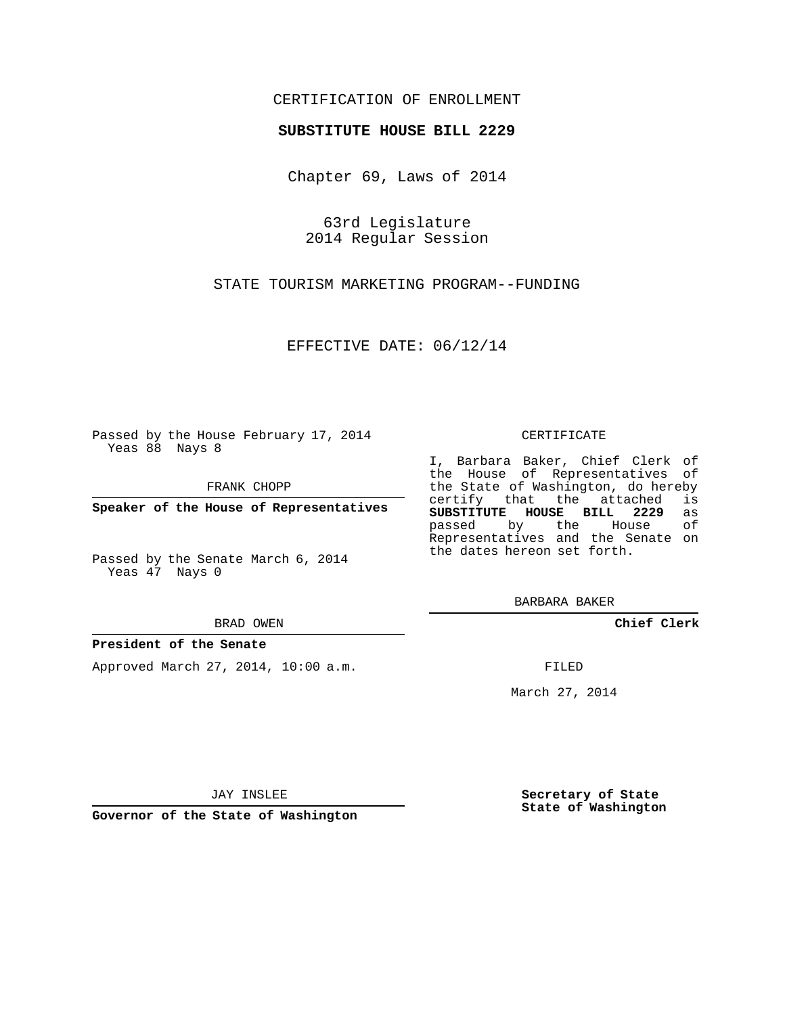## CERTIFICATION OF ENROLLMENT

## **SUBSTITUTE HOUSE BILL 2229**

Chapter 69, Laws of 2014

63rd Legislature 2014 Regular Session

STATE TOURISM MARKETING PROGRAM--FUNDING

EFFECTIVE DATE: 06/12/14

Passed by the House February 17, 2014 Yeas 88 Nays 8

FRANK CHOPP

**Speaker of the House of Representatives**

Passed by the Senate March 6, 2014 Yeas 47 Nays 0

BRAD OWEN

### **President of the Senate**

Approved March 27, 2014, 10:00 a.m.

#### CERTIFICATE

I, Barbara Baker, Chief Clerk of the House of Representatives of the State of Washington, do hereby<br>certify that the attached is certify that the attached **SUBSTITUTE HOUSE BILL 2229** as passed by the House of Representatives and the Senate on the dates hereon set forth.

BARBARA BAKER

**Chief Clerk**

FILED

March 27, 2014

JAY INSLEE

**Governor of the State of Washington**

**Secretary of State State of Washington**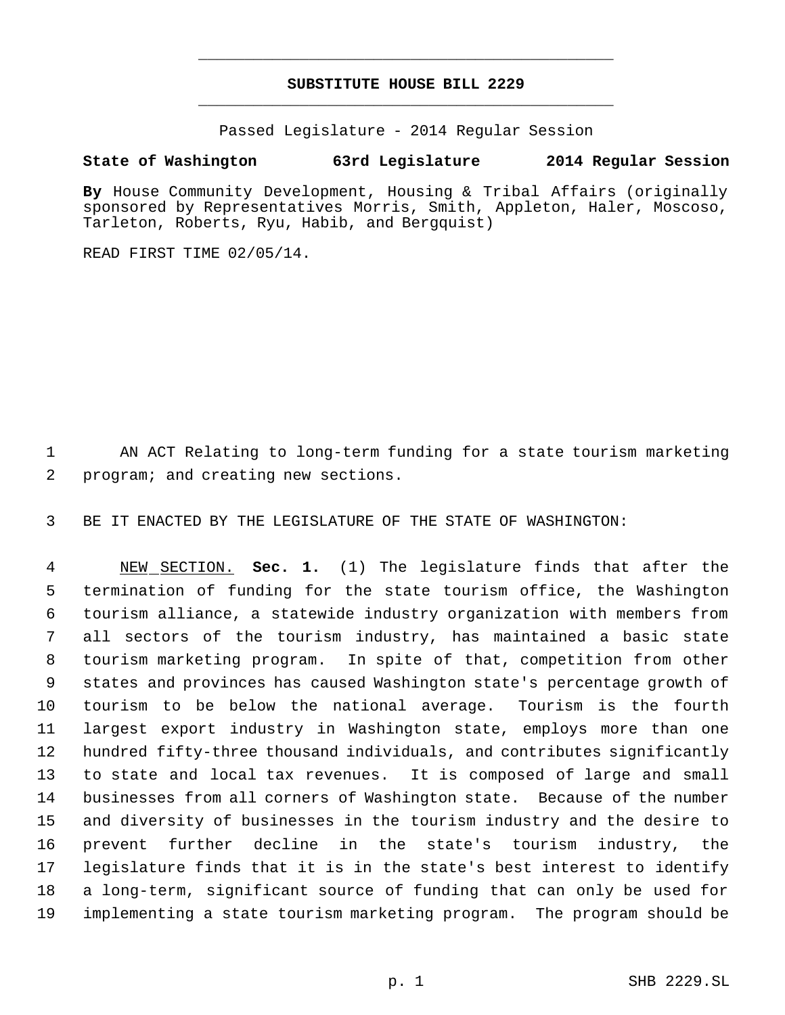# **SUBSTITUTE HOUSE BILL 2229** \_\_\_\_\_\_\_\_\_\_\_\_\_\_\_\_\_\_\_\_\_\_\_\_\_\_\_\_\_\_\_\_\_\_\_\_\_\_\_\_\_\_\_\_\_

\_\_\_\_\_\_\_\_\_\_\_\_\_\_\_\_\_\_\_\_\_\_\_\_\_\_\_\_\_\_\_\_\_\_\_\_\_\_\_\_\_\_\_\_\_

Passed Legislature - 2014 Regular Session

# **State of Washington 63rd Legislature 2014 Regular Session**

**By** House Community Development, Housing & Tribal Affairs (originally sponsored by Representatives Morris, Smith, Appleton, Haler, Moscoso, Tarleton, Roberts, Ryu, Habib, and Bergquist)

READ FIRST TIME 02/05/14.

 AN ACT Relating to long-term funding for a state tourism marketing program; and creating new sections.

BE IT ENACTED BY THE LEGISLATURE OF THE STATE OF WASHINGTON:

 NEW SECTION. **Sec. 1.** (1) The legislature finds that after the termination of funding for the state tourism office, the Washington tourism alliance, a statewide industry organization with members from all sectors of the tourism industry, has maintained a basic state tourism marketing program. In spite of that, competition from other states and provinces has caused Washington state's percentage growth of tourism to be below the national average. Tourism is the fourth largest export industry in Washington state, employs more than one hundred fifty-three thousand individuals, and contributes significantly to state and local tax revenues. It is composed of large and small businesses from all corners of Washington state. Because of the number and diversity of businesses in the tourism industry and the desire to prevent further decline in the state's tourism industry, the legislature finds that it is in the state's best interest to identify a long-term, significant source of funding that can only be used for implementing a state tourism marketing program. The program should be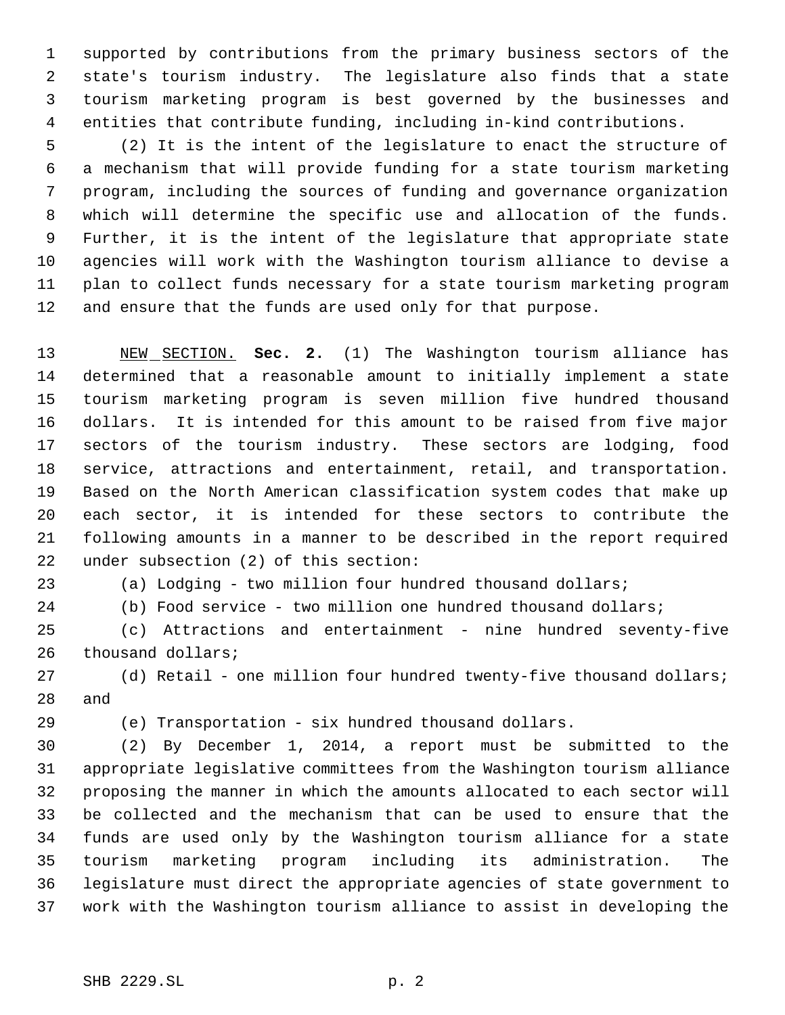supported by contributions from the primary business sectors of the state's tourism industry. The legislature also finds that a state tourism marketing program is best governed by the businesses and entities that contribute funding, including in-kind contributions.

 (2) It is the intent of the legislature to enact the structure of a mechanism that will provide funding for a state tourism marketing program, including the sources of funding and governance organization which will determine the specific use and allocation of the funds. Further, it is the intent of the legislature that appropriate state agencies will work with the Washington tourism alliance to devise a plan to collect funds necessary for a state tourism marketing program and ensure that the funds are used only for that purpose.

 NEW SECTION. **Sec. 2.** (1) The Washington tourism alliance has determined that a reasonable amount to initially implement a state tourism marketing program is seven million five hundred thousand dollars. It is intended for this amount to be raised from five major sectors of the tourism industry. These sectors are lodging, food service, attractions and entertainment, retail, and transportation. Based on the North American classification system codes that make up each sector, it is intended for these sectors to contribute the following amounts in a manner to be described in the report required under subsection (2) of this section:

(a) Lodging - two million four hundred thousand dollars;

(b) Food service - two million one hundred thousand dollars;

 (c) Attractions and entertainment - nine hundred seventy-five 26 thousand dollars;

27 (d) Retail - one million four hundred twenty-five thousand dollars; and

(e) Transportation - six hundred thousand dollars.

 (2) By December 1, 2014, a report must be submitted to the appropriate legislative committees from the Washington tourism alliance proposing the manner in which the amounts allocated to each sector will be collected and the mechanism that can be used to ensure that the funds are used only by the Washington tourism alliance for a state tourism marketing program including its administration. The legislature must direct the appropriate agencies of state government to work with the Washington tourism alliance to assist in developing the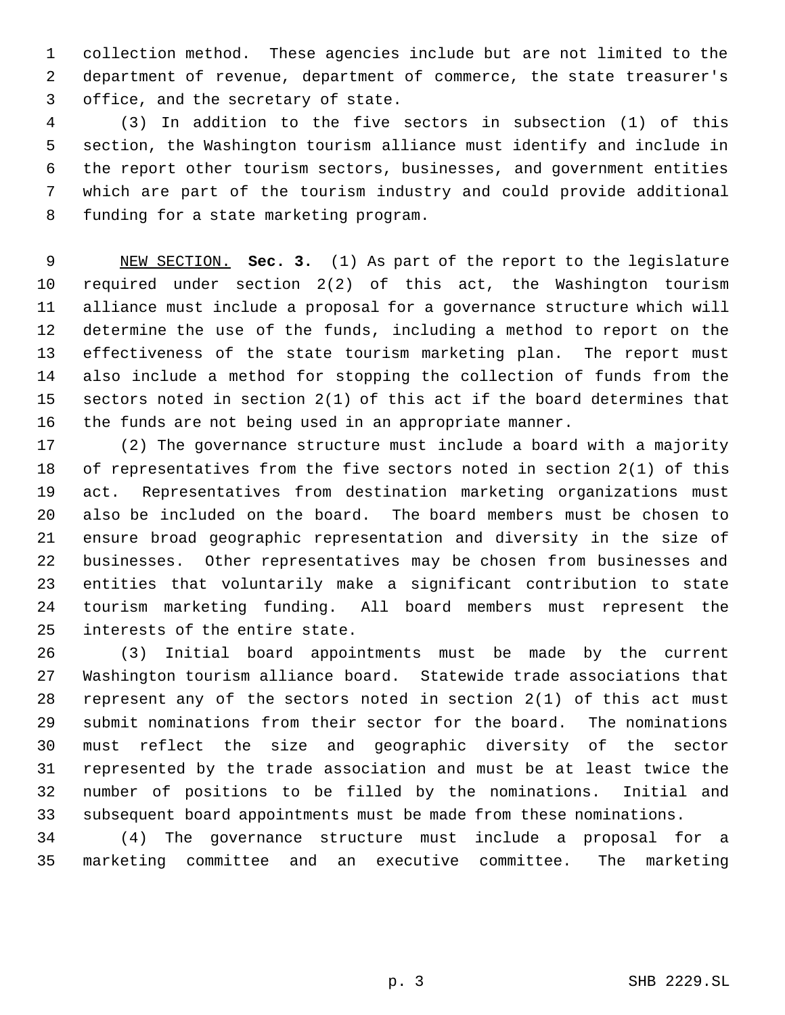collection method. These agencies include but are not limited to the department of revenue, department of commerce, the state treasurer's office, and the secretary of state.

 (3) In addition to the five sectors in subsection (1) of this section, the Washington tourism alliance must identify and include in the report other tourism sectors, businesses, and government entities which are part of the tourism industry and could provide additional funding for a state marketing program.

 NEW SECTION. **Sec. 3.** (1) As part of the report to the legislature required under section 2(2) of this act, the Washington tourism alliance must include a proposal for a governance structure which will determine the use of the funds, including a method to report on the effectiveness of the state tourism marketing plan. The report must also include a method for stopping the collection of funds from the sectors noted in section 2(1) of this act if the board determines that the funds are not being used in an appropriate manner.

 (2) The governance structure must include a board with a majority of representatives from the five sectors noted in section 2(1) of this act. Representatives from destination marketing organizations must also be included on the board. The board members must be chosen to ensure broad geographic representation and diversity in the size of businesses. Other representatives may be chosen from businesses and entities that voluntarily make a significant contribution to state tourism marketing funding. All board members must represent the interests of the entire state.

 (3) Initial board appointments must be made by the current Washington tourism alliance board. Statewide trade associations that represent any of the sectors noted in section 2(1) of this act must submit nominations from their sector for the board. The nominations must reflect the size and geographic diversity of the sector represented by the trade association and must be at least twice the number of positions to be filled by the nominations. Initial and subsequent board appointments must be made from these nominations.

 (4) The governance structure must include a proposal for a marketing committee and an executive committee. The marketing